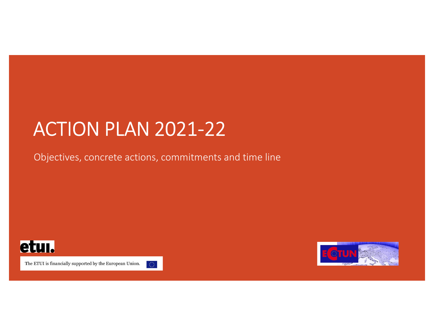# **ACTION PLAN 2021-22** ACTION PLAN 2021-22<br>Objectives, concrete actions, commitments and time line



The ETUI is financially supported by the European Union.



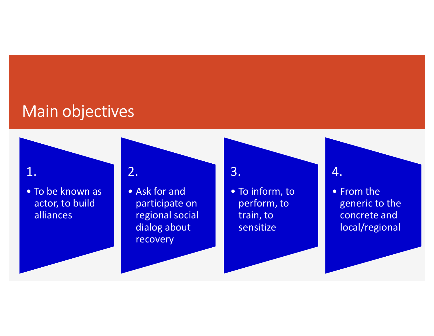## Main objectives

actor, to build alliances

Vain objectives<br>
1.<br>
• To be known as<br>
actor, to build<br>
alliances<br>
<sup>•</sup> Ask for and<br>
participate on<br>
regional social<br>
dialog about S<br>
2.<br>
• Ask for and<br>
participate on<br>
regional social<br>
dialog about<br>
ensitize participate on regional social dialog about recovery



perform, to train, to sensitize



9 4.<br>• From the<br>generic to the<br>concrete and<br>local/regional generic to the concrete and local/regional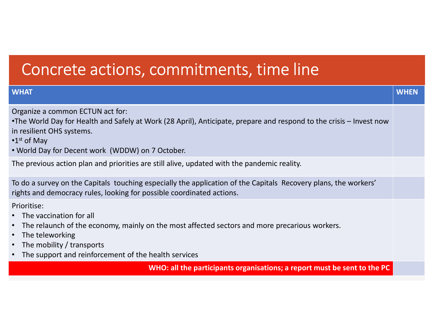# Concrete actions, commitments, time line

| Concrete actions, commitments, time line                                                                                                                                                                                                                                   |             |  |
|----------------------------------------------------------------------------------------------------------------------------------------------------------------------------------------------------------------------------------------------------------------------------|-------------|--|
| <b>WHAT</b>                                                                                                                                                                                                                                                                | <b>WHEN</b> |  |
| Organize a common ECTUN act for:<br>•The World Day for Health and Safely at Work (28 April), Anticipate, prepare and respond to the crisis – Invest now<br>in resilient OHS systems.<br>$\cdot$ 1 <sup>st</sup> of May<br>• World Day for Decent work (WDDW) on 7 October. |             |  |
| The previous action plan and priorities are still alive, updated with the pandemic reality.                                                                                                                                                                                |             |  |
| To do a survey on the Capitals touching especially the application of the Capitals Recovery plans, the workers'<br>rights and democracy rules, looking for possible coordinated actions.                                                                                   |             |  |
| Prioritise:<br>• The vaccination for all<br>• The relaunch of the economy, mainly on the most affected sectors and more precarious workers.<br>• The teleworking<br>• The mobility / transports<br>• The support and reinforcement of the health services                  |             |  |
| WHO: all the participants organisations; a report must be sent to the PC                                                                                                                                                                                                   |             |  |